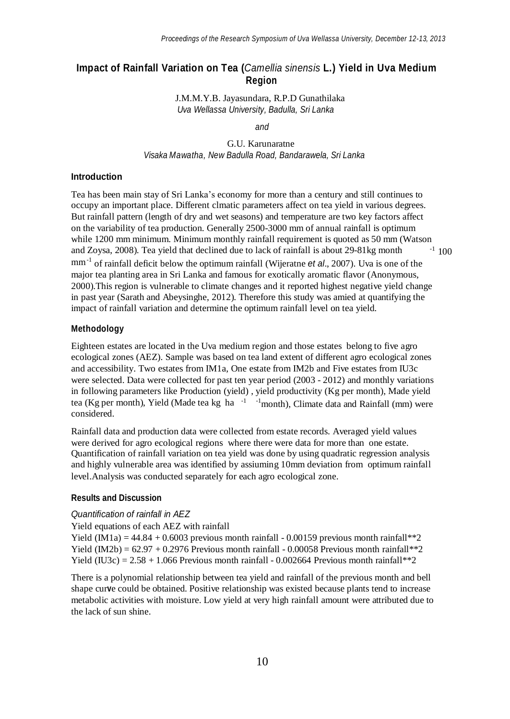# **Impact of Rainfall Variation on Tea (***Camellia sinensis* **L.) Yield in Uva Medium Region**

J.M.M.Y.B. Jayasundara, R.P.D Gunathilaka *Uva Wellassa University, Badulla, Sri Lanka*

*and*

G.U. Karunaratne *Visaka Mawatha, New Badulla Road, Bandarawela, Sri Lanka*

### **Introduction**

 $^{-1}$  100 mm<sup>-1</sup> of rainfall deficit below the optimum rainfall (Wijeratne *et al.*, 2007). Uva is one of the major tea planting area in Sri Lanka and famous for exotically aromatic flavor (Anonymous, 2000).This region is vulnerable to climate changes and it reported highest negative yield change in past year (Sarath and Abeysinghe, 2012). Therefore this study was amied at quantifying the impact of rainfall variation and determine the optimum rainfall level on tea yield. Tea has been main stay of Sri Lanka's economy for more than a century and still continues to occupy an important place. Different clmatic parameters affect on tea yield in various degrees. But rainfall pattern (length of dry and wet seasons) and temperature are two key factors affect on the variability of tea production. Generally 2500-3000 mm of annual rainfall is optimum while 1200 mm minimum. Minimum monthly rainfall requirement is quoted as 50 mm (Watson and Zoysa, 2008). Tea yield that declined due to lack of rainfall is about 29-81kg month

# **Methodology**

tea (Kg per month), Yield (Made tea kg ha <sup>-1</sup> <sup>-1</sup> month), Climate data and Rainfall (mm) were Eighteen estates are located in the Uva medium region and those estates belong to five agro ecological zones (AEZ). Sample was based on tea land extent of different agro ecological zones and accessibility. Two estates from IM1a, One estate from IM2b and Five estates from IU3c were selected. Data were collected for past ten year period (2003 - 2012) and monthly variations in following parameters like Production (yield) , yield productivity (Kg per month), Made yield considered.

Rainfall data and production data were collected from estate records. Averaged yield values were derived for agro ecological regions where there were data for more than one estate. Quantification of rainfall variation on tea yield was done by using quadratic regression analysis and highly vulnerable area was identified by assiuming 10mm deviation from optimum rainfall level.Analysis was conducted separately for each agro ecological zone.

### **Results and Discussion**

#### *Quantification of rainfall in AEZ*

#### Yield equations of each AEZ with rainfall

Yield (IM1a) =  $44.84 + 0.6003$  previous month rainfall - 0.00159 previous month rainfall\*\*2 Yield (IM2b) =  $62.97 + 0.2976$  Previous month rainfall - 0.00058 Previous month rainfall\*\*2 Yield (IU3c) =  $2.58 + 1.066$  Previous month rainfall - 0.002664 Previous month rainfall\*\*2

There is a polynomial relationship between tea yield and rainfall of the previous month and bell shape cur**v**e could be obtained. Positive relationship was existed because plants tend to increase metabolic activities with moisture. Low yield at very high rainfall amount were attributed due to the lack of sun shine.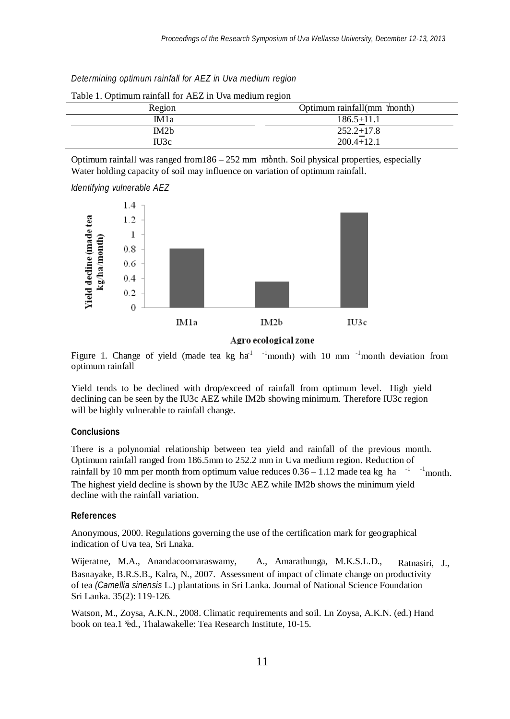*Determining optimum rainfall for AEZ in Uva medium region*

| Region            | Optimum rainfall(mm month) |
|-------------------|----------------------------|
| IM <sub>1</sub> a | $186.5 + 11.1$             |
| IM2 <sub>b</sub>  | $252.2 + 17.8$             |
| IU3c              | $200.4 + 12.1$             |

Table 1. Optimum rainfall for AEZ in Uva medium region

Optimum rainfall was ranged from186 - 252 mm month. Soil physical properties, especially Water holding capacity of soil may influence on variation of optimum rainfall.

*Identifying vulnerable AEZ*



Agro ecological zone

Figure 1. Change of yield (made tea kg  $ha^{-1}$  -1month) with 10 mm  $^{-1}$ month deviation from optimum rainfall

Yield tends to be declined with drop/exceed of rainfall from optimum level.High yield declining can be seen by the IU3c AEZ while IM2b showing minimum. Therefore IU3c region will be highly vulnerable to rainfall change.

## **Conclusions**

rainfall by 10 mm per month from optimum value reduces  $0.36 - 1.12$  made tea kg ha<sup>-1-1</sup> month. The highest yield decline is shown by the IU3c AEZ while IM2b shows the minimum yield decline with the rainfall variation. There is a polynomial relationship between tea yield and rainfall of the previous month. Optimum rainfall ranged from 186.5mm to 252.2 mm in Uva medium region. Reduction of

#### **References**

Anonymous, 2000. Regulations governing the use of the certification mark for geographical indication of Uva tea, Sri Lnaka.

Ratnasiri, J., Basnayake, B.R.S.B., Kalra, N., 2007. Assessment of impact of climate change on productivity of tea *(Camellia sinensis* L.) plantations in Sri Lanka. Journal of National Science Foundation Sri Lanka. 35(2): 119-126*.* Wijeratne, M.A., Anandacoomaraswamy, A., Amarathunga, M.K.S.L.D.,

book on tea.1 %d., Thalawakelle: Tea Research Institute, 10-15. Watson, M., Zoysa, A.K.N., 2008. Climatic requirements and soil. Ln Zoysa, A.K.N. (ed.) Hand